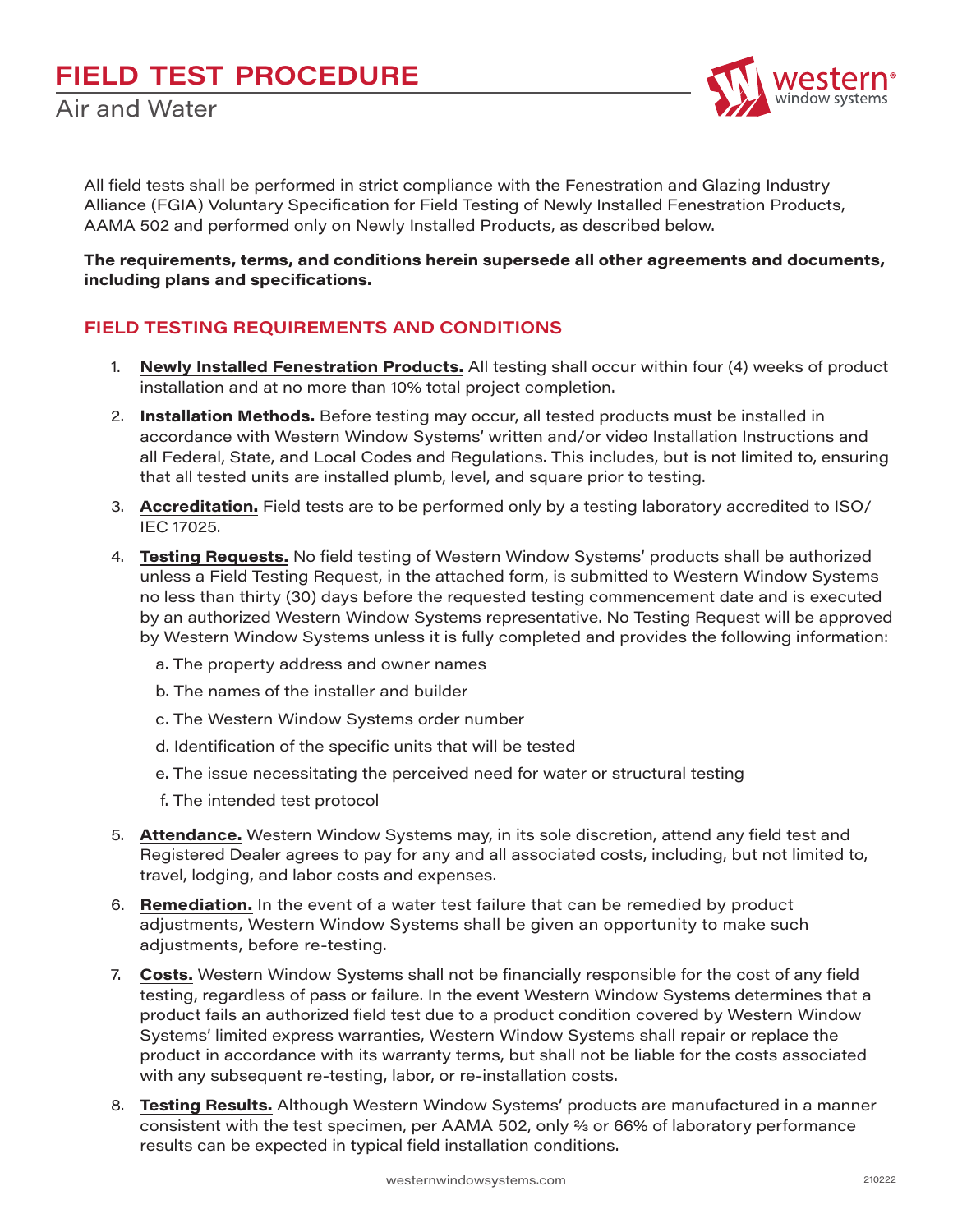

All field tests shall be performed in strict compliance with the Fenestration and Glazing Industry Alliance (FGIA) Voluntary Specification for Field Testing of Newly Installed Fenestration Products, AAMA 502 and performed only on Newly Installed Products, as described below.

**The requirements, terms, and conditions herein supersede all other agreements and documents, including plans and specifications.**

## **FIELD TESTING REQUIREMENTS AND CONDITIONS**

- 1. **Newly Installed Fenestration Products.** All testing shall occur within four (4) weeks of product installation and at no more than 10% total project completion.
- 2. **Installation Methods.** Before testing may occur, all tested products must be installed in accordance with Western Window Systems' written and/or video Installation Instructions and all Federal, State, and Local Codes and Regulations. This includes, but is not limited to, ensuring that all tested units are installed plumb, level, and square prior to testing.
- 3. **Accreditation.** Field tests are to be performed only by a testing laboratory accredited to ISO/ IEC 17025.
- 4. **Testing Requests.** No field testing of Western Window Systems' products shall be authorized unless a Field Testing Request, in the attached form, is submitted to Western Window Systems no less than thirty (30) days before the requested testing commencement date and is executed by an authorized Western Window Systems representative. No Testing Request will be approved by Western Window Systems unless it is fully completed and provides the following information:
	- a. The property address and owner names
	- b. The names of the installer and builder
	- c. The Western Window Systems order number
	- d. Identification of the specific units that will be tested
	- e. The issue necessitating the perceived need for water or structural testing
	- f. The intended test protocol
- 5. **Attendance.** Western Window Systems may, in its sole discretion, attend any field test and Registered Dealer agrees to pay for any and all associated costs, including, but not limited to, travel, lodging, and labor costs and expenses.
- 6. **Remediation.** In the event of a water test failure that can be remedied by product adjustments, Western Window Systems shall be given an opportunity to make such adjustments, before re-testing.
- 7. **Costs.** Western Window Systems shall not be financially responsible for the cost of any field testing, regardless of pass or failure. In the event Western Window Systems determines that a product fails an authorized field test due to a product condition covered by Western Window Systems' limited express warranties, Western Window Systems shall repair or replace the product in accordance with its warranty terms, but shall not be liable for the costs associated with any subsequent re-testing, labor, or re-installation costs.
- 8. **Testing Results.** Although Western Window Systems' products are manufactured in a manner consistent with the test specimen, per AAMA 502, only  $\frac{2}{3}$  or 66% of laboratory performance results can be expected in typical field installation conditions.